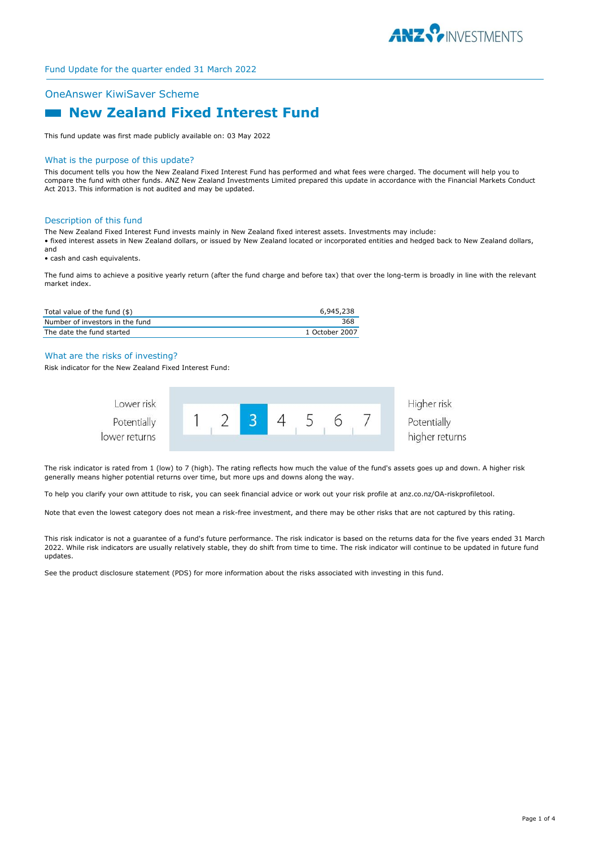

# OneAnswer KiwiSaver Scheme

# **New Zealand Fixed Interest Fund**

This fund update was first made publicly available on: 03 May 2022

#### What is the purpose of this update?

This document tells you how the New Zealand Fixed Interest Fund has performed and what fees were charged. The document will help you to compare the fund with other funds. ANZ New Zealand Investments Limited prepared this update in accordance with the Financial Markets Conduct Act 2013. This information is not audited and may be updated.

#### Description of this fund

The New Zealand Fixed Interest Fund invests mainly in New Zealand fixed interest assets. Investments may include: • fixed interest assets in New Zealand dollars, or issued by New Zealand located or incorporated entities and hedged back to New Zealand dollars,

and • cash and cash equivalents.

The fund aims to achieve a positive yearly return (after the fund charge and before tax) that over the long-term is broadly in line with the relevant market index.

| Total value of the fund (\$)    | 6.945.238      |
|---------------------------------|----------------|
| Number of investors in the fund | 368            |
| The date the fund started       | 1 October 2007 |

### What are the risks of investing?

Risk indicator for the New Zealand Fixed Interest Fund:



The risk indicator is rated from 1 (low) to 7 (high). The rating reflects how much the value of the fund's assets goes up and down. A higher risk generally means higher potential returns over time, but more ups and downs along the way.

To help you clarify your own attitude to risk, you can seek financial advice or work out your risk profile at anz.co.nz/OA-riskprofiletool.

Note that even the lowest category does not mean a risk-free investment, and there may be other risks that are not captured by this rating.

This risk indicator is not a guarantee of a fund's future performance. The risk indicator is based on the returns data for the five years ended 31 March 2022. While risk indicators are usually relatively stable, they do shift from time to time. The risk indicator will continue to be updated in future fund updates.

See the product disclosure statement (PDS) for more information about the risks associated with investing in this fund.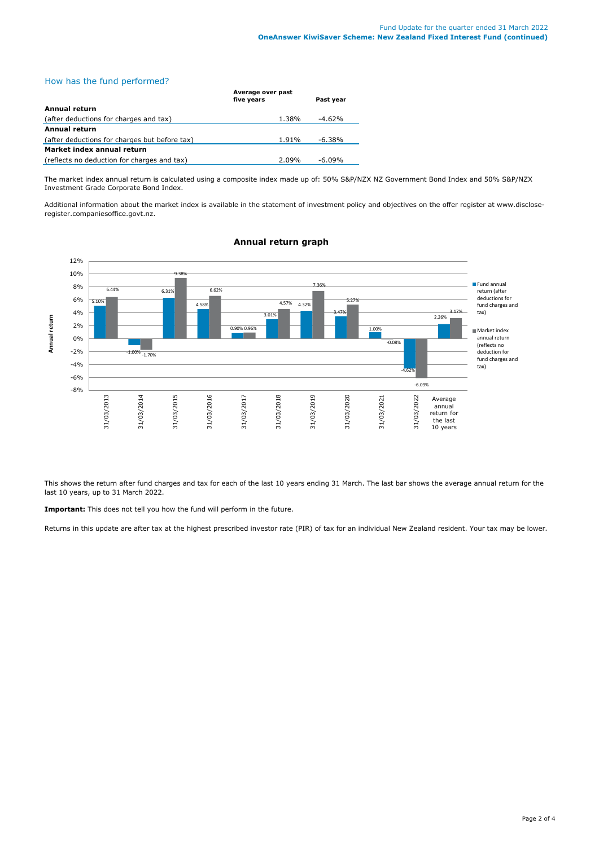# How has the fund performed?

|                                               | Average over past<br>five years |           |
|-----------------------------------------------|---------------------------------|-----------|
| Annual return                                 |                                 | Past year |
| (after deductions for charges and tax)        | 1.38%                           | $-4.62%$  |
| Annual return                                 |                                 |           |
| (after deductions for charges but before tax) | 1.91%                           | $-6.38%$  |
| Market index annual return                    |                                 |           |
| (reflects no deduction for charges and tax)   | 2.09%                           | $-6.09\%$ |

The market index annual return is calculated using a composite index made up of: 50% S&P/NZX NZ Government Bond Index and 50% S&P/NZX Investment Grade Corporate Bond Index.

Additional information about the market index is available in the statement of investment policy and objectives on the offer register at www.discloseregister.companiesoffice.govt.nz.



# **Annual return graph**

This shows the return after fund charges and tax for each of the last 10 years ending 31 March. The last bar shows the average annual return for the last 10 years, up to 31 March 2022.

**Important:** This does not tell you how the fund will perform in the future.

Returns in this update are after tax at the highest prescribed investor rate (PIR) of tax for an individual New Zealand resident. Your tax may be lower.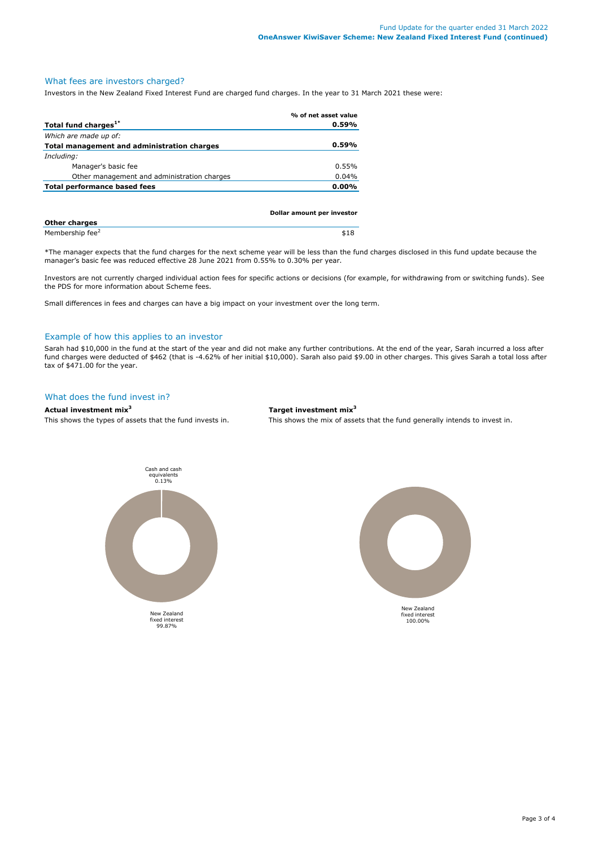# What fees are investors charged?

Investors in the New Zealand Fixed Interest Fund are charged fund charges. In the year to 31 March 2021 these were:

|                                             | % of net asset value |
|---------------------------------------------|----------------------|
| Total fund charges <sup>1*</sup>            | 0.59%                |
| Which are made up of:                       |                      |
| Total management and administration charges | 0.59%                |
| Including:                                  |                      |
| Manager's basic fee                         | 0.55%                |
| Other management and administration charges | 0.04%                |
| Total performance based fees                | $0.00\%$             |
|                                             |                      |

|                             | Dollar amount per investor |
|-----------------------------|----------------------------|
| <b>Other charges</b>        |                            |
| Membership fee <sup>2</sup> | \$18                       |

\*The manager expects that the fund charges for the next scheme year will be less than the fund charges disclosed in this fund update because the manager's basic fee was reduced effective 28 June 2021 from 0.55% to 0.30% per year.

Investors are not currently charged individual action fees for specific actions or decisions (for example, for withdrawing from or switching funds). See the PDS for more information about Scheme fees.

Small differences in fees and charges can have a big impact on your investment over the long term.

#### Example of how this applies to an investor

Sarah had \$10,000 in the fund at the start of the year and did not make any further contributions. At the end of the year, Sarah incurred a loss after fund charges were deducted of \$462 (that is -4.62% of her initial \$10,000). Sarah also paid \$9.00 in other charges. This gives Sarah a total loss after tax of \$471.00 for the year.

### What does the fund invest in?

#### **Actual investment mix<sup>3</sup> Target investment mix<sup>3</sup>**

This shows the types of assets that the fund invests in. This shows the mix of assets that the fund generally intends to invest in.